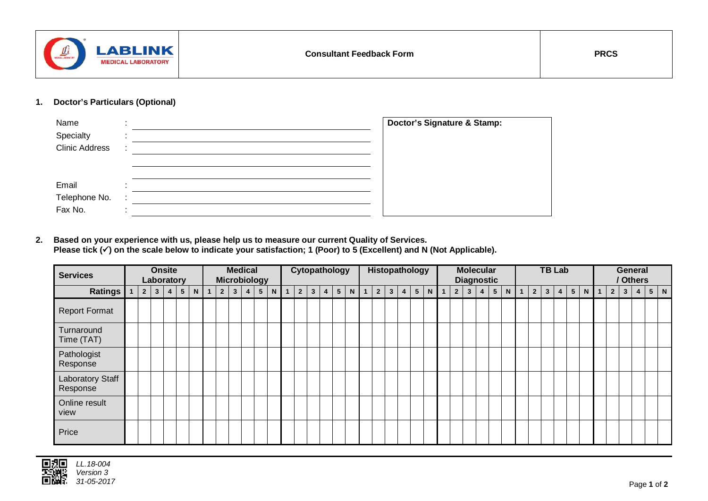

## **1. Doctor's Particulars (Optional)**

| Name<br>Specialty<br><b>Clinic Address</b> | $\cdot$ | Doctor's Signature & Stamp: |
|--------------------------------------------|---------|-----------------------------|
| Email<br>Telephone No.<br>Fax No.          | ٠       |                             |

**2. Based on your experience with us, please help us to measure our current Quality of Services. Please tick () on the scale below to indicate your satisfaction; 1 (Poor) to 5 (Excellent) and N (Not Applicable).**

| <b>Services</b>              | <b>Onsite</b><br>Laboratory |             |              |                |                 |                | <b>Medical</b><br><b>Microbiology</b> |                |                |   |                |              | Cytopathology |                |              |                |                 |  |                | Histopathology |                |             |                |  |       |  | <b>Molecular</b><br><b>Diagnostic</b> |              |                |                |             |  |                | <b>TB Lab</b> |   |                 |   |             |                |              | <b>General</b><br>/ Others |  |       |  |  |
|------------------------------|-----------------------------|-------------|--------------|----------------|-----------------|----------------|---------------------------------------|----------------|----------------|---|----------------|--------------|---------------|----------------|--------------|----------------|-----------------|--|----------------|----------------|----------------|-------------|----------------|--|-------|--|---------------------------------------|--------------|----------------|----------------|-------------|--|----------------|---------------|---|-----------------|---|-------------|----------------|--------------|----------------------------|--|-------|--|--|
| <b>Ratings</b>               |                             | $2^{\circ}$ | $\mathbf{3}$ | $\overline{4}$ | $5\overline{)}$ | N <sub>1</sub> |                                       | $\overline{2}$ | 3 <sup>1</sup> | 4 | 5 <sup>5</sup> | $\mathsf{N}$ | $\mathbf{1}$  | $\overline{2}$ | $\mathbf{3}$ | $\overline{4}$ | $5\phantom{.0}$ |  | N <sub>1</sub> |                | $\overline{2}$ | $3^{\circ}$ | $\overline{4}$ |  | $5$ N |  | $\overline{2}$                        | $\mathbf{3}$ | $\overline{4}$ | 5 <sup>5</sup> | $\mathbf N$ |  | 2 <sup>2</sup> | 3             | 4 | $5\phantom{.0}$ | N | $\mathbf 1$ | $\overline{2}$ | $\mathbf{3}$ | $\overline{\mathbf{4}}$    |  | $5$ N |  |  |
| <b>Report Format</b>         |                             |             |              |                |                 |                |                                       |                |                |   |                |              |               |                |              |                |                 |  |                |                |                |             |                |  |       |  |                                       |              |                |                |             |  |                |               |   |                 |   |             |                |              |                            |  |       |  |  |
| Turnaround<br>Time (TAT)     |                             |             |              |                |                 |                |                                       |                |                |   |                |              |               |                |              |                |                 |  |                |                |                |             |                |  |       |  |                                       |              |                |                |             |  |                |               |   |                 |   |             |                |              |                            |  |       |  |  |
| Pathologist<br>Response      |                             |             |              |                |                 |                |                                       |                |                |   |                |              |               |                |              |                |                 |  |                |                |                |             |                |  |       |  |                                       |              |                |                |             |  |                |               |   |                 |   |             |                |              |                            |  |       |  |  |
| Laboratory Staff<br>Response |                             |             |              |                |                 |                |                                       |                |                |   |                |              |               |                |              |                |                 |  |                |                |                |             |                |  |       |  |                                       |              |                |                |             |  |                |               |   |                 |   |             |                |              |                            |  |       |  |  |
| Online result<br>view        |                             |             |              |                |                 |                |                                       |                |                |   |                |              |               |                |              |                |                 |  |                |                |                |             |                |  |       |  |                                       |              |                |                |             |  |                |               |   |                 |   |             |                |              |                            |  |       |  |  |
| Price                        |                             |             |              |                |                 |                |                                       |                |                |   |                |              |               |                |              |                |                 |  |                |                |                |             |                |  |       |  |                                       |              |                |                |             |  |                |               |   |                 |   |             |                |              |                            |  |       |  |  |